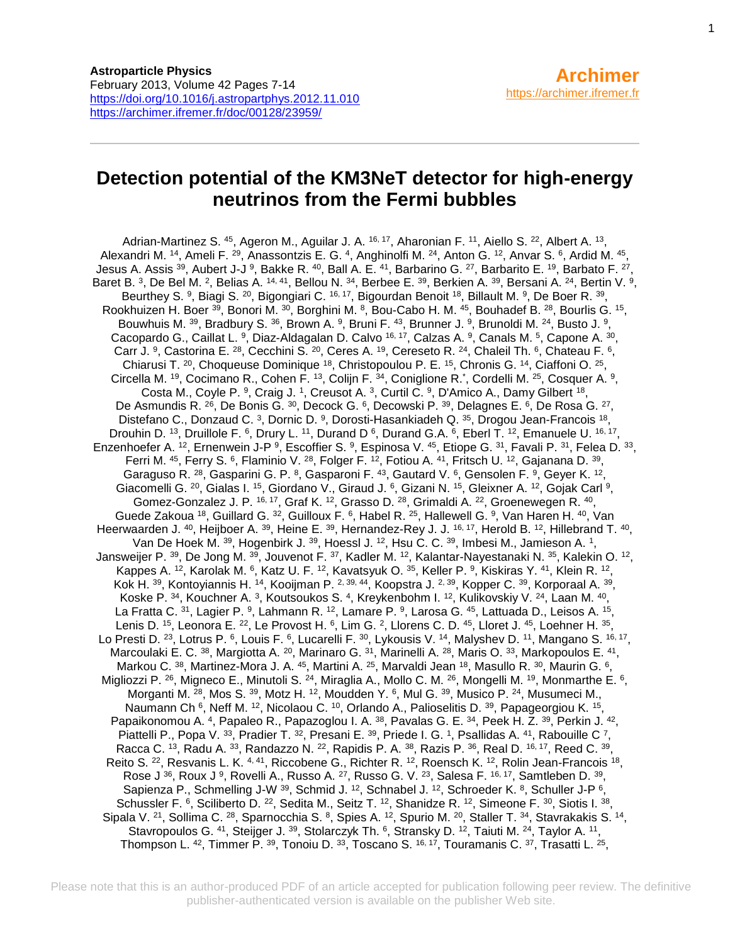# **Detection potential of the KM3NeT detector for high-energy neutrinos from the Fermi bubbles**

Adrian-Martinez S. <sup>45</sup>, Ageron M., Aguilar J. A. <sup>16, 17</sup>, Aharonian F. <sup>11</sup>, Aiello S. <sup>22</sup>, Albert A. <sup>13</sup>, Alexandri M. <sup>14</sup>, Ameli F. <sup>29</sup>, Anassontzis E. G. <sup>4</sup>, Anghinolfi M. <sup>24</sup>, Anton G. <sup>12</sup>, Anvar S. <sup>6</sup>, Ardid M. <sup>45</sup>, Jesus A. Assis  $^{39}$ , Aubert J-J  $^{9}$ , Bakke R.  $^{40}$ , Ball A. E.  $^{41}$ , Barbarino G.  $^{27}$ , Barbarito E.  $^{19}$ , Barbato F.  $^{27}$ , Baret B. 3, De Bel M. 2, Belias A.  $14, 41$ , Bellou N.  $34$ , Berbee E.  $39$ , Berkien A.  $39$ , Bersani A.  $24$ , Bertin V.  $9$ , Beurthey S. <sup>9</sup>, Biagi S. <sup>20</sup>, Bigongiari C. <sup>16, 17</sup>, Bigourdan Benoit <sup>18</sup>, Billault M. <sup>9</sup>, De Boer R. <sup>39</sup>, Rookhuizen H. Boer <sup>39</sup>, Bonori M. <sup>30</sup>, Borghini M. <sup>8</sup>, Bou-Cabo H. M. <sup>45</sup>, Bouhadef B. <sup>28</sup>, Bourlis G. <sup>15</sup>, Bouwhuis M.  $^{39}$ , Bradbury S.  $^{36}$ , Brown A.  $^{9}$ , Bruni F.  $^{43}$ , Brunner J.  $^{9}$ , Brunoldi M.  $^{24}$ , Busto J.  $^{9}$ , Cacopardo G., Caillat L. <sup>9</sup>, Diaz-Aldagalan D. Calvo <sup>16, 17</sup>, Calzas A. <sup>9</sup>, Canals M. <sup>5</sup>, Capone A. <sup>30</sup>, Carr J. <sup>9</sup>, Castorina E. <sup>28</sup>, Cecchini S. <sup>20</sup>, Ceres A. <sup>19</sup>, Cereseto R. <sup>24</sup>, Chaleil Th. <sup>6</sup>, Chateau F. <sup>6</sup>, Chiarusi T.  $^{20}$ , Choqueuse Dominique  $^{18}$ , Christopoulou P. E.  $^{15}$ , Chronis G.  $^{14}$ , Ciaffoni O.  $^{25}$ , Circella M. <sup>19</sup>, Cocimano R., Cohen F. <sup>13</sup>, Colijn F. <sup>34</sup>, Coniglione R.<sup>\*</sup>, Cordelli M. <sup>25</sup>, Cosquer A. <sup>9</sup>, Costa M., Coyle P. <sup>9</sup>, Craig J. <sup>1</sup>, Creusot A. <sup>3</sup>, Curtil C. <sup>9</sup>, D'Amico A., Damy Gilbert <sup>18</sup>, De Asmundis R. <sup>26</sup>, De Bonis G. <sup>30</sup>, Decock G. <sup>6</sup>, Decowski P. <sup>39</sup>, Delagnes E. <sup>6</sup>, De Rosa G. <sup>27</sup>, Distefano C., Donzaud C. <sup>3</sup>, Dornic D. <sup>9</sup>, Dorosti-Hasankiadeh Q. <sup>35</sup>, Drogou Jean-Francois <sup>18</sup>, Drouhin D.  $^{13}$ , Druillole F.  $^6$ , Drury L.  $^{11}$ , Durand D  $^6$ , Durand G.A.  $^6$ , Eberl T.  $^{12}$ , Emanuele U.  $^{16}$ ,  $^{17}$ , Enzenhoefer A. <sup>12</sup>, Ernenwein J-P <sup>9</sup>, Escoffier S. <sup>9</sup>, Espinosa V. <sup>45</sup>, Etiope G. <sup>31</sup>, Favali P. <sup>31</sup>, Felea D. <sup>33</sup>, Ferri M.  $^{45}$ , Ferry S.  $^{6}$ , Flaminio V.  $^{28}$ , Folger F.  $^{12}$ , Fotiou A.  $^{41}$ , Fritsch U.  $^{12}$ , Gajanana D.  $^{39}$ , Garaguso R.  $^{28}$ , Gasparini G. P.  $^{8}$ , Gasparoni F.  $^{43}$ , Gautard V.  $^{6}$ , Gensolen F.  $^{9}$ , Geyer K.  $^{12}$ , Giacomelli G. <sup>20</sup>, Gialas I. <sup>15</sup>, Giordano V., Giraud J. <sup>6</sup>, Gizani N. <sup>15</sup>, Gleixner A. <sup>12</sup>, Gojak Carl <sup>9</sup>, Gomez-Gonzalez J. P.  $16, 17$ , Graf K.  $12$ , Grasso D.  $28$ , Grimaldi A.  $22$ , Groenewegen R.  $40$ , Guede Zakoua <sup>18</sup>, Guillard G. <sup>32</sup>, Guilloux F. <sup>6</sup>, Habel R. <sup>25</sup>, Hallewell G. <sup>9</sup>, Van Haren H. <sup>40</sup>, Van Heerwaarden J. <sup>40</sup>, Heijboer A. <sup>39</sup>, Heine E. <sup>39</sup>, Hernandez-Rey J. J. <sup>16, 17</sup>, Herold B. <sup>12</sup>, Hillebrand T. <sup>40</sup>, Van De Hoek M. <sup>39</sup>, Hogenbirk J. <sup>39</sup>, Hoessl J. <sup>12</sup>, Hsu C. C. <sup>39</sup>, Imbesi M., Jamieson A. <sup>1</sup>, Jansweijer P. <sup>39</sup>, De Jong M. <sup>39</sup>, Jouvenot F. <sup>37</sup>, Kadler M. <sup>12</sup>, Kalantar-Nayestanaki N. <sup>35</sup>, Kalekin O. <sup>12</sup>, Kappes A. <sup>12</sup>, Karolak M. <sup>6</sup>, Katz U. F. <sup>12</sup>, Kavatsyuk O. <sup>35</sup>, Keller P. <sup>9</sup>, Kiskiras Y. <sup>41</sup>, Klein R. <sup>12</sup>, Kok H. <sup>39</sup>, Kontoyiannis H. <sup>14</sup>, Kooijman P. <sup>2, 39, 44</sup>, Koopstra J. <sup>2, 39</sup>, Kopper C. <sup>39</sup>, Korporaal A. <sup>39</sup>, Koske P.  $^{34}$ , Kouchner A.  $^{3}$ , Koutsoukos S.  $^{4}$ , Kreykenbohm I.  $^{12}$ , Kulikovskiy V.  $^{24}$ , Laan M.  $^{40}$ , La Fratta C. 31, Lagier P. 9, Lahmann R. 12, Lamare P. 9, Larosa G. 45, Lattuada D., Leisos A. 15, Lenis D.  $^{15}$ , Leonora E.  $^{22}$ , Le Provost H.  $^6$ , Lim G.  $^2$ , Llorens C. D.  $^{45}$ , Lloret J.  $^{45}$ , Loehner H.  $^{35}$ , Lo Presti D. <sup>23</sup>, Lotrus P. <sup>6</sup>, Louis F. <sup>6</sup>, Lucarelli F. <sup>30</sup>, Lykousis V. <sup>14</sup>, Malyshev D. <sup>11</sup>, Mangano S. <sup>16, 17</sup>, Marcoulaki E. C. 38, Margiotta A. <sup>20</sup>, Marinaro G. <sup>31</sup>, Marinelli A. <sup>28</sup>, Maris O. <sup>33</sup>, Markopoulos E. <sup>41</sup>, Markou C.  $^{38}$ , Martinez-Mora J. A.  $^{45}$ , Martini A.  $^{25}$ , Marvaldi Jean  $^{18}$ , Masullo R.  $^{30}$ , Maurin G.  $^{6}$ , Migliozzi P. <sup>26</sup>, Migneco E., Minutoli S. <sup>24</sup>, Miraglia A., Mollo C. M. <sup>26</sup>, Mongelli M. <sup>19</sup>, Monmarthe E. <sup>6</sup>, Morganti M.  $^{28}$ , Mos S.  $^{39}$ , Motz H.  $^{12}$ , Moudden Y.  $^{6}$ , Mul G.  $^{39}$ , Musico P.  $^{24}$ , Musumeci M., Naumann Ch <sup>6</sup>, Neff M. <sup>12</sup>, Nicolaou C. <sup>10</sup>, Orlando A., Palioselitis D. <sup>39</sup>, Papageorgiou K. <sup>15</sup>, Papaikonomou A. <sup>4</sup>, Papaleo R., Papazoglou I. A. <sup>38</sup>, Pavalas G. E. <sup>34</sup>, Peek H. Z. <sup>39</sup>, Perkin J. <sup>42</sup>, Piattelli P., Popa V. 33, Pradier T. 32, Presani E. 39, Priede I. G. 1, Psallidas A. 41, Rabouille C 7, Racca C. <sup>13</sup>, Radu A. <sup>33</sup>, Randazzo N. <sup>22</sup>, Rapidis P. A. <sup>38</sup>, Razis P. <sup>36</sup>, Real D. <sup>16, 17</sup>, Reed C. <sup>39</sup>, Reito S. <sup>22</sup>, Resvanis L. K. <sup>4, 41</sup>, Riccobene G., Richter R. <sup>12</sup>, Roensch K. <sup>12</sup>, Rolin Jean-Francois <sup>18</sup>, Rose J  $^{36}$ , Roux J <sup>9</sup>, Rovelli A., Russo A. <sup>27</sup>, Russo G. V. <sup>23</sup>, Salesa F. <sup>16, 17</sup>, Samtleben D.  $^{39}$ , Sapienza P., Schmelling J-W<sup>39</sup>, Schmid J. <sup>12</sup>, Schnabel J. <sup>12</sup>, Schroeder K. <sup>8</sup>, Schuller J-P  $6$ , Schussler F. <sup>6</sup>, Sciliberto D. <sup>22</sup>, Sedita M., Seitz T. <sup>12</sup>, Shanidze R. <sup>12</sup>, Simeone F. <sup>30</sup>, Siotis I. <sup>38</sup>, Sipala V. <sup>21</sup>, Sollima C. <sup>28</sup>, Sparnocchia S. <sup>8</sup>, Spies A. <sup>12</sup>, Spurio M. <sup>20</sup>, Staller T. <sup>34</sup>, Stavrakakis S. <sup>14</sup>, Stavropoulos G.  $41$ , Steijger J.  $39$ , Stolarczyk Th.  $6$ , Stransky D.  $12$ , Taiuti M.  $24$ , Taylor A.  $11$ , Thompson L.  $^{42}$ , Timmer P.  $^{39}$ , Tonoiu D.  $^{33}$ , Toscano S.  $^{16,~17}$ , Touramanis C.  $^{37}$ , Trasatti L.  $^{25},$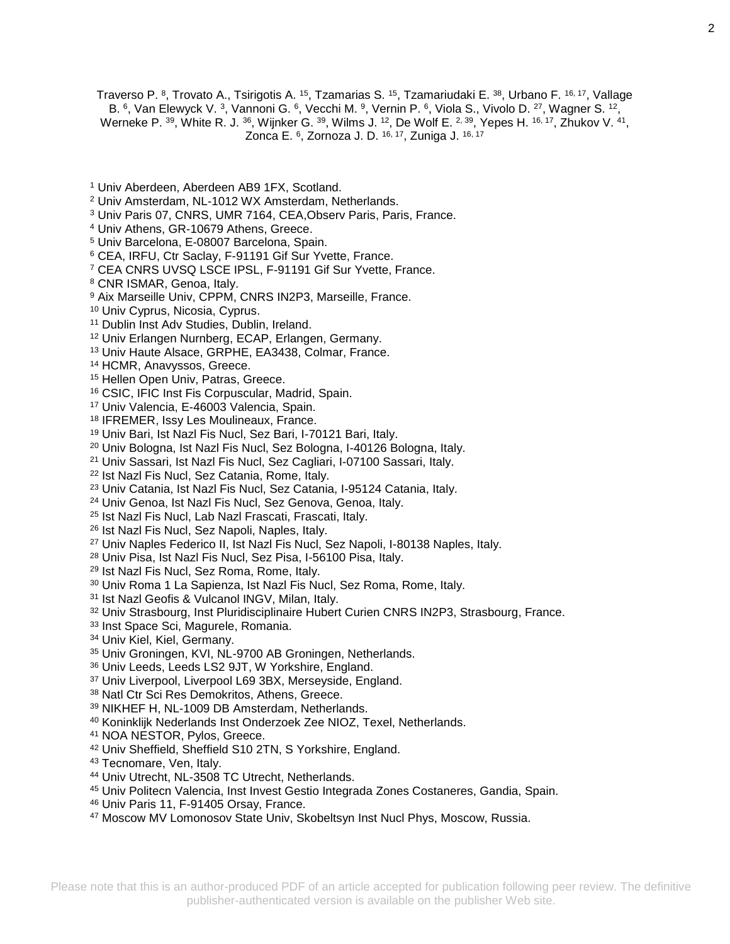Traverso P. <sup>8</sup>, Trovato A., Tsirigotis A. <sup>15</sup>, Tzamarias S. <sup>15</sup>, Tzamariudaki E. <sup>38</sup>, Urbano F. <sup>16, 17</sup>, Vallage B. 6, Van Elewyck V. 3, Vannoni G. 6, Vecchi M. 9, Vernin P. 6, Viola S., Vivolo D. 27, Wagner S. 12, Werneke P.  $^{39}$ , White R. J.  $^{36}$ , Wijnker G.  $^{39}$ , Wilms J.  $^{12}$ , De Wolf E.  $^{2,39}$ , Yepes H.  $^{16,17}$ , Zhukov V.  $^{41}$ , Zonca E. <sup>6</sup> , Zornoza J. D. 16, 17, Zuniga J. 16, 17

- Univ Aberdeen, Aberdeen AB9 1FX, Scotland.
- Univ Amsterdam, NL-1012 WX Amsterdam, Netherlands.
- Univ Paris 07, CNRS, UMR 7164, CEA,Observ Paris, Paris, France.
- Univ Athens, GR-10679 Athens, Greece.
- Univ Barcelona, E-08007 Barcelona, Spain.
- CEA, IRFU, Ctr Saclay, F-91191 Gif Sur Yvette, France.
- CEA CNRS UVSQ LSCE IPSL, F-91191 Gif Sur Yvette, France.
- CNR ISMAR, Genoa, Italy.
- Aix Marseille Univ, CPPM, CNRS IN2P3, Marseille, France.
- Univ Cyprus, Nicosia, Cyprus.
- Dublin Inst Adv Studies, Dublin, Ireland.
- Univ Erlangen Nurnberg, ECAP, Erlangen, Germany.
- Univ Haute Alsace, GRPHE, EA3438, Colmar, France.
- HCMR, Anavyssos, Greece.
- 15 Hellen Open Univ, Patras, Greece.
- CSIC, IFIC Inst Fis Corpuscular, Madrid, Spain.
- Univ Valencia, E-46003 Valencia, Spain.
- IFREMER, Issy Les Moulineaux, France.
- Univ Bari, Ist Nazl Fis Nucl, Sez Bari, I-70121 Bari, Italy.
- Univ Bologna, Ist Nazl Fis Nucl, Sez Bologna, I-40126 Bologna, Italy.
- Univ Sassari, Ist Nazl Fis Nucl, Sez Cagliari, I-07100 Sassari, Italy.
- <sup>22</sup> Ist Nazl Fis Nucl, Sez Catania, Rome, Italy.
- Univ Catania, Ist Nazl Fis Nucl, Sez Catania, I-95124 Catania, Italy.
- Univ Genoa, Ist Nazl Fis Nucl, Sez Genova, Genoa, Italy.
- Ist Nazl Fis Nucl, Lab Nazl Frascati, Frascati, Italy.
- Ist Nazl Fis Nucl, Sez Napoli, Naples, Italy.
- Univ Naples Federico II, Ist Nazl Fis Nucl, Sez Napoli, I-80138 Naples, Italy.
- Univ Pisa, Ist Nazl Fis Nucl, Sez Pisa, I-56100 Pisa, Italy.
- Ist Nazl Fis Nucl, Sez Roma, Rome, Italy.
- Univ Roma 1 La Sapienza, Ist Nazl Fis Nucl, Sez Roma, Rome, Italy.
- Ist Nazl Geofis & Vulcanol INGV, Milan, Italy.
- Univ Strasbourg, Inst Pluridisciplinaire Hubert Curien CNRS IN2P3, Strasbourg, France.
- <sup>33</sup> Inst Space Sci, Magurele, Romania.
- Univ Kiel, Kiel, Germany.
- Univ Groningen, KVI, NL-9700 AB Groningen, Netherlands.
- Univ Leeds, Leeds LS2 9JT, W Yorkshire, England.
- Univ Liverpool, Liverpool L69 3BX, Merseyside, England.
- Natl Ctr Sci Res Demokritos, Athens, Greece.
- NIKHEF H, NL-1009 DB Amsterdam, Netherlands.
- Koninklijk Nederlands Inst Onderzoek Zee NIOZ, Texel, Netherlands.
- NOA NESTOR, Pylos, Greece.
- Univ Sheffield, Sheffield S10 2TN, S Yorkshire, England.
- 43 Tecnomare, Ven, Italy.
- Univ Utrecht, NL-3508 TC Utrecht, Netherlands.
- Univ Politecn Valencia, Inst Invest Gestio Integrada Zones Costaneres, Gandia, Spain.
- Univ Paris 11, F-91405 Orsay, France.
- Moscow MV Lomonosov State Univ, Skobeltsyn Inst Nucl Phys, Moscow, Russia.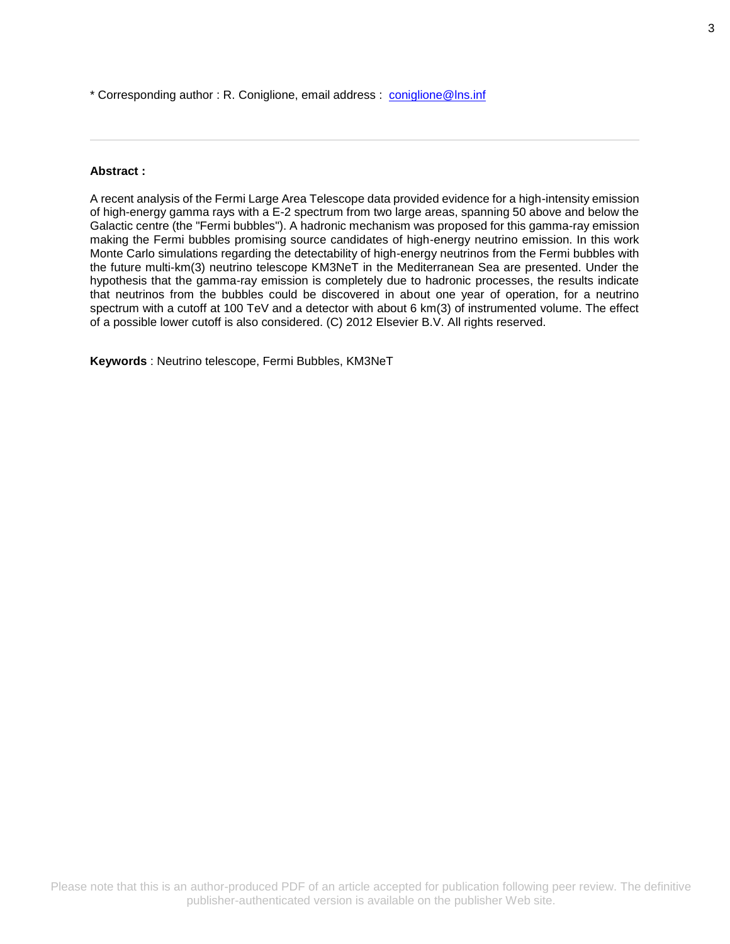\* Corresponding author : R. Coniglione, email address : [coniglione@lns.inf](file:///C:/birt/First_Page_Generation/Exports/coniglione@lns.inf)

# **Abstract :**

A recent analysis of the Fermi Large Area Telescope data provided evidence for a high-intensity emission of high-energy gamma rays with a E-2 spectrum from two large areas, spanning 50 above and below the Galactic centre (the "Fermi bubbles"). A hadronic mechanism was proposed for this gamma-ray emission making the Fermi bubbles promising source candidates of high-energy neutrino emission. In this work Monte Carlo simulations regarding the detectability of high-energy neutrinos from the Fermi bubbles with the future multi-km(3) neutrino telescope KM3NeT in the Mediterranean Sea are presented. Under the hypothesis that the gamma-ray emission is completely due to hadronic processes, the results indicate that neutrinos from the bubbles could be discovered in about one year of operation, for a neutrino spectrum with a cutoff at 100 TeV and a detector with about 6 km(3) of instrumented volume. The effect of a possible lower cutoff is also considered. (C) 2012 Elsevier B.V. All rights reserved.

**Keywords** : Neutrino telescope, Fermi Bubbles, KM3NeT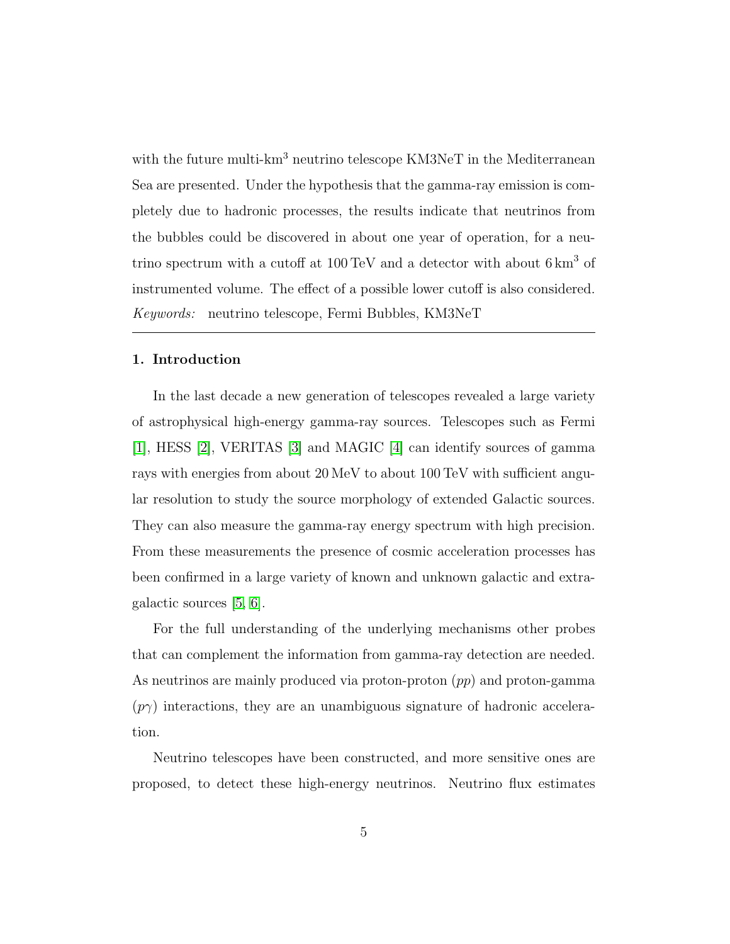# 1. Introduction

In the last decade a new generation of telescopes revealed a large variety of astrophysical high-energy gamma-ray sources. Telescopes such as Fermi [\[1\]](#page-23-0), HESS [\[2\]](#page-23-1), VERITAS [\[3\]](#page-23-2) and MAGIC [\[4\]](#page-23-3) can identify sources of gamma rays with energies from about 20 MeV to about 100 TeV with sufficient angular resolution to study the source morphology of extended Galactic sources. They can also measure the gamma-ray energy spectrum with high precision. From these measurements the presence of cosmic acceleration processes has been confirmed in a large variety of known and unknown galactic and extragalactic sources [\[5,](#page-23-4) [6\]](#page-23-5).

For the full understanding of the underlying mechanisms other probes that can complement the information from gamma-ray detection are needed. As neutrinos are mainly produced via proton-proton  $(pp)$  and proton-gamma  $(p\gamma)$  interactions, they are an unambiguous signature of hadronic acceleration.

Neutrino telescopes have been constructed, and more sensitive ones are proposed, to detect these high-energy neutrinos. Neutrino flux estimates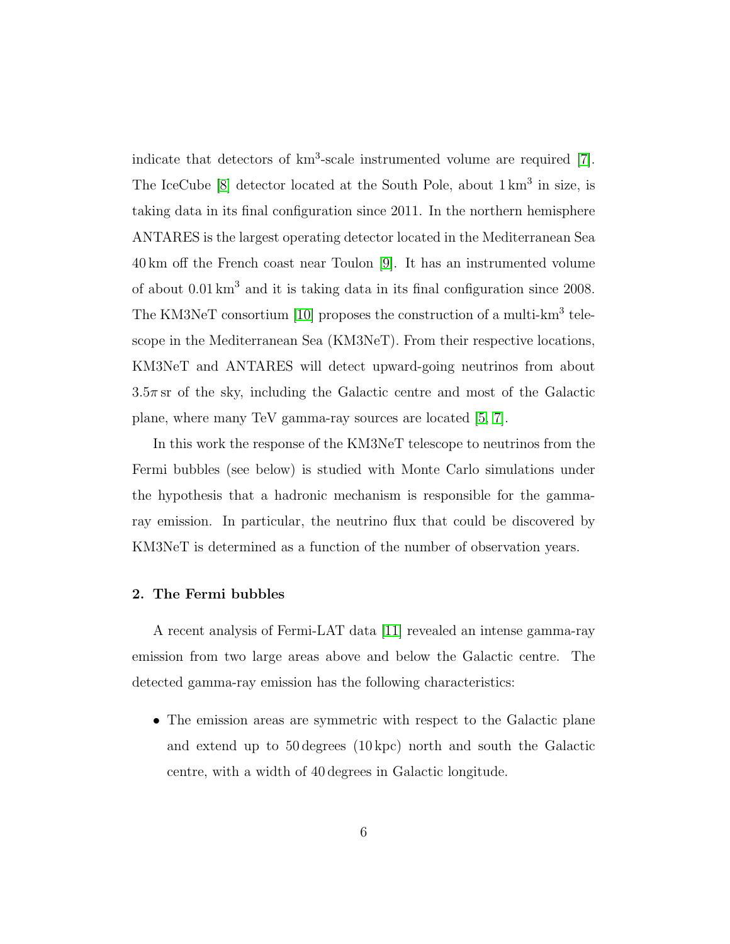indicate that detectors of  $km^3$ -scale instrumented volume are required [\[7\]](#page-23-6). The IceCube  $[8]$  detector located at the South Pole, about  $1 \text{ km}^3$  in size, is taking data in its final configuration since 2011. In the northern hemisphere ANTARES is the largest operating detector located in the Mediterranean Sea 40 km off the French coast near Toulon [\[9\]](#page-23-8). It has an instrumented volume of about 0.01 km<sup>3</sup> and it is taking data in its final configuration since 2008. The KM3NeT consortium [\[10\]](#page-23-9) proposes the construction of a multi-km<sup>3</sup> telescope in the Mediterranean Sea (KM3NeT). From their respective locations, KM3NeT and ANTARES will detect upward-going neutrinos from about  $3.5\pi$  sr of the sky, including the Galactic centre and most of the Galactic plane, where many TeV gamma-ray sources are located [\[5,](#page-23-10) [7\]](#page-23-6).

In this work the response of the KM3NeT telescope to neutrinos from the Fermi bubbles (see below) is studied with Monte Carlo simulations under the hypothesis that a hadronic mechanism is responsible for the gammaray emission. In particular, the neutrino flux that could be discovered by KM3NeT is determined as a function of the number of observation years.

#### 2. The Fermi bubbles

A recent analysis of Fermi-LAT data [\[11\]](#page-23-11) revealed an intense gamma-ray emission from two large areas above and below the Galactic centre. The detected gamma-ray emission has the following characteristics:

• The emission areas are symmetric with respect to the Galactic plane and extend up to 50 degrees (10 kpc) north and south the Galactic centre, with a width of 40 degrees in Galactic longitude.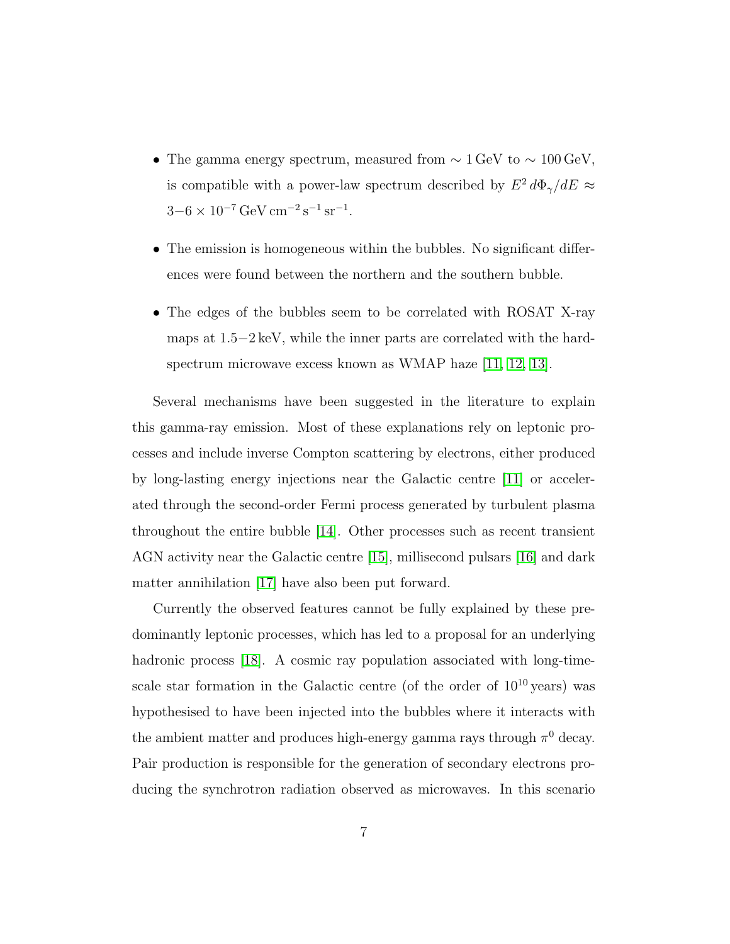- The gamma energy spectrum, measured from  $\sim 1 \,\text{GeV}$  to  $\sim 100 \,\text{GeV}$ , is compatible with a power-law spectrum described by  $E^2 d\Phi_{\gamma}/dE \approx$  $3-6 \times 10^{-7} \,\text{GeV} \,\text{cm}^{-2} \,\text{s}^{-1} \,\text{sr}^{-1}.$
- The emission is homogeneous within the bubbles. No significant differences were found between the northern and the southern bubble.
- The edges of the bubbles seem to be correlated with ROSAT X-ray maps at 1.5−2 keV, while the inner parts are correlated with the hardspectrum microwave excess known as WMAP haze [\[11,](#page-23-11) [12,](#page-23-12) [13\]](#page-23-13).

Several mechanisms have been suggested in the literature to explain this gamma-ray emission. Most of these explanations rely on leptonic processes and include inverse Compton scattering by electrons, either produced by long-lasting energy injections near the Galactic centre [\[11\]](#page-23-11) or accelerated through the second-order Fermi process generated by turbulent plasma throughout the entire bubble [\[14\]](#page-23-14). Other processes such as recent transient AGN activity near the Galactic centre [\[15\]](#page-23-15), millisecond pulsars [\[16\]](#page-24-0) and dark matter annihilation [\[17\]](#page-24-1) have also been put forward.

Currently the observed features cannot be fully explained by these predominantly leptonic processes, which has led to a proposal for an underlying hadronic process [\[18\]](#page-24-2). A cosmic ray population associated with long-timescale star formation in the Galactic centre (of the order of  $10^{10}$  years) was hypothesised to have been injected into the bubbles where it interacts with the ambient matter and produces high-energy gamma rays through  $\pi^0$  decay. Pair production is responsible for the generation of secondary electrons producing the synchrotron radiation observed as microwaves. In this scenario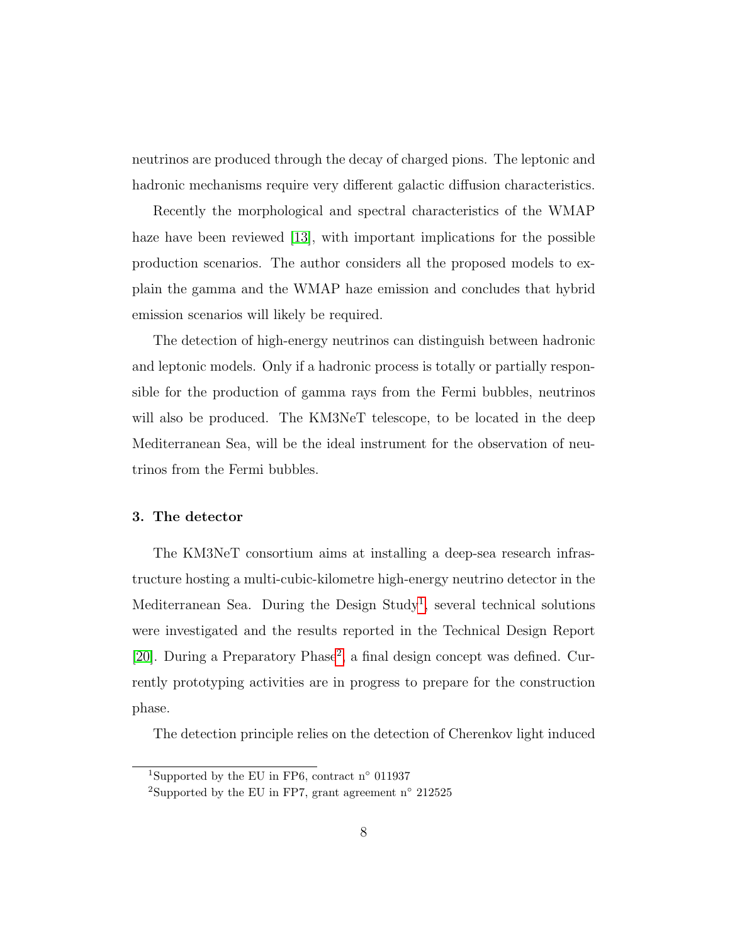neutrinos are produced through the decay of charged pions. The leptonic and hadronic mechanisms require very different galactic diffusion characteristics.

Recently the morphological and spectral characteristics of the WMAP haze have been reviewed [\[13\]](#page-23-13), with important implications for the possible production scenarios. The author considers all the proposed models to explain the gamma and the WMAP haze emission and concludes that hybrid emission scenarios will likely be required.

The detection of high-energy neutrinos can distinguish between hadronic and leptonic models. Only if a hadronic process is totally or partially responsible for the production of gamma rays from the Fermi bubbles, neutrinos will also be produced. The KM3NeT telescope, to be located in the deep Mediterranean Sea, will be the ideal instrument for the observation of neutrinos from the Fermi bubbles.

#### 3. The detector

The KM3NeT consortium aims at installing a deep-sea research infrastructure hosting a multi-cubic-kilometre high-energy neutrino detector in the Mediterranean Sea. During the Design Study<sup>[1](#page-6-0)</sup>, several technical solutions were investigated and the results reported in the Technical Design Report [\[20\]](#page-24-3). During a Preparatory Phase<sup>[2](#page-6-1)</sup>, a final design concept was defined. Currently prototyping activities are in progress to prepare for the construction phase.

The detection principle relies on the detection of Cherenkov light induced

<span id="page-6-1"></span><span id="page-6-0"></span><sup>&</sup>lt;sup>1</sup>Supported by the EU in FP6, contract n<sup>°</sup> 011937

<sup>&</sup>lt;sup>2</sup>Supported by the EU in FP7, grant agreement n<sup>o</sup> 212525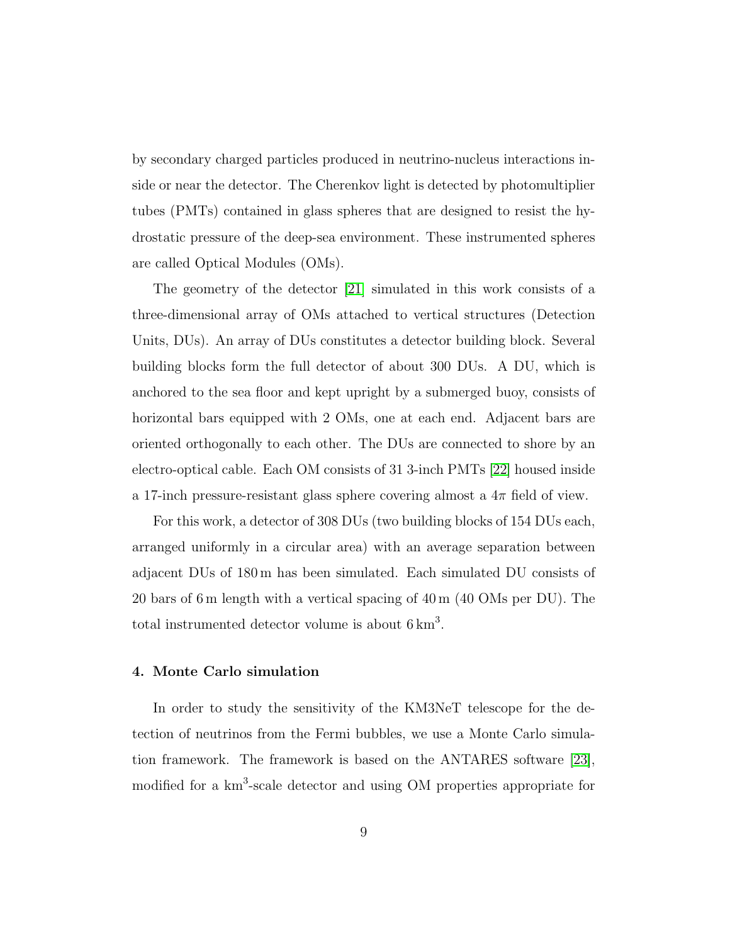by secondary charged particles produced in neutrino-nucleus interactions inside or near the detector. The Cherenkov light is detected by photomultiplier tubes (PMTs) contained in glass spheres that are designed to resist the hydrostatic pressure of the deep-sea environment. These instrumented spheres are called Optical Modules (OMs).

The geometry of the detector [\[21\]](#page-24-4) simulated in this work consists of a three-dimensional array of OMs attached to vertical structures (Detection Units, DUs). An array of DUs constitutes a detector building block. Several building blocks form the full detector of about 300 DUs. A DU, which is anchored to the sea floor and kept upright by a submerged buoy, consists of horizontal bars equipped with 2 OMs, one at each end. Adjacent bars are oriented orthogonally to each other. The DUs are connected to shore by an electro-optical cable. Each OM consists of 31 3-inch PMTs [\[22\]](#page-24-5) housed inside a 17-inch pressure-resistant glass sphere covering almost a  $4\pi$  field of view.

For this work, a detector of 308 DUs (two building blocks of 154 DUs each, arranged uniformly in a circular area) with an average separation between adjacent DUs of 180 m has been simulated. Each simulated DU consists of 20 bars of 6 m length with a vertical spacing of 40 m (40 OMs per DU). The total instrumented detector volume is about  $6 \text{ km}^3$ .

# 4. Monte Carlo simulation

In order to study the sensitivity of the KM3NeT telescope for the detection of neutrinos from the Fermi bubbles, we use a Monte Carlo simulation framework. The framework is based on the ANTARES software [\[23\]](#page-24-6), modified for a  $km^3$ -scale detector and using OM properties appropriate for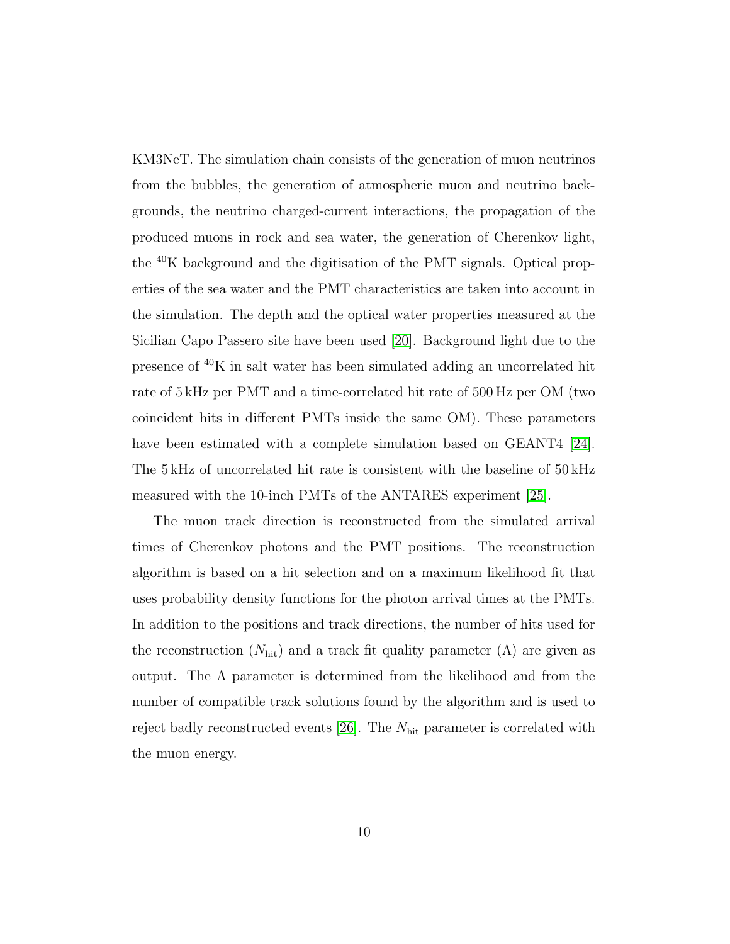KM3NeT. The simulation chain consists of the generation of muon neutrinos from the bubbles, the generation of atmospheric muon and neutrino backgrounds, the neutrino charged-current interactions, the propagation of the produced muons in rock and sea water, the generation of Cherenkov light, the <sup>40</sup>K background and the digitisation of the PMT signals. Optical properties of the sea water and the PMT characteristics are taken into account in the simulation. The depth and the optical water properties measured at the Sicilian Capo Passero site have been used [\[20\]](#page-24-3). Background light due to the presence of <sup>40</sup>K in salt water has been simulated adding an uncorrelated hit rate of 5 kHz per PMT and a time-correlated hit rate of 500 Hz per OM (two coincident hits in different PMTs inside the same OM). These parameters have been estimated with a complete simulation based on GEANT4 [\[24\]](#page-24-7). The 5 kHz of uncorrelated hit rate is consistent with the baseline of 50 kHz measured with the 10-inch PMTs of the ANTARES experiment [\[25\]](#page-24-8).

The muon track direction is reconstructed from the simulated arrival times of Cherenkov photons and the PMT positions. The reconstruction algorithm is based on a hit selection and on a maximum likelihood fit that uses probability density functions for the photon arrival times at the PMTs. In addition to the positions and track directions, the number of hits used for the reconstruction  $(N_{\text{hit}})$  and a track fit quality parameter  $(\Lambda)$  are given as output. The  $\Lambda$  parameter is determined from the likelihood and from the number of compatible track solutions found by the algorithm and is used to reject badly reconstructed events [\[26\]](#page-24-9). The Nhit parameter is correlated with the muon energy.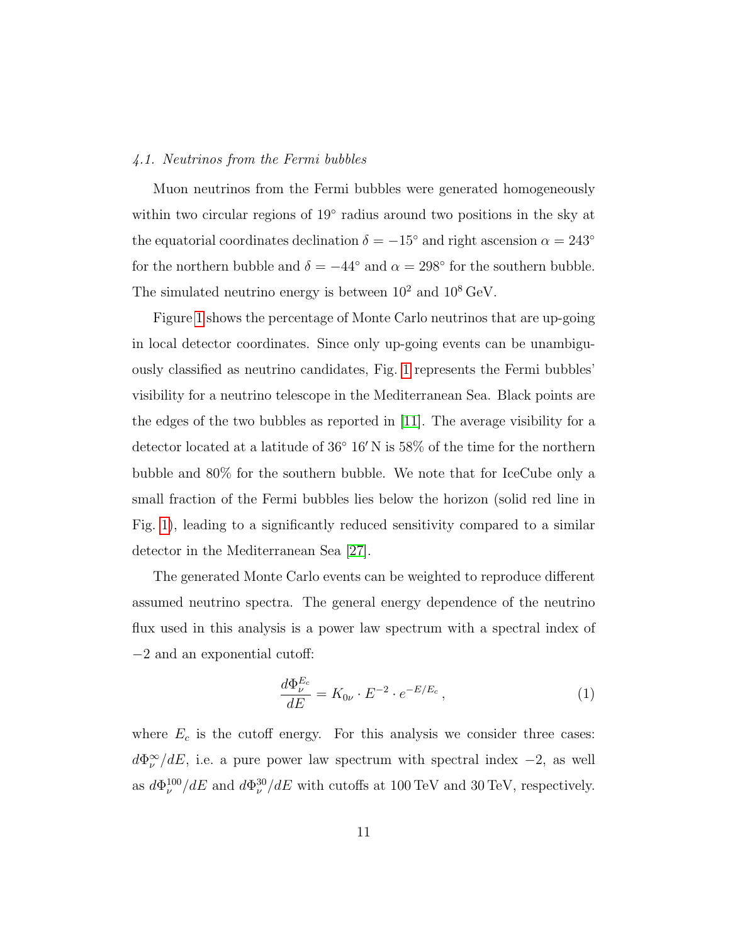# 4.1. Neutrinos from the Fermi bubbles

Muon neutrinos from the Fermi bubbles were generated homogeneously within two circular regions of 19° radius around two positions in the sky at the equatorial coordinates declination  $\delta = -15^{\circ}$  and right ascension  $\alpha = 243^{\circ}$ for the northern bubble and  $\delta = -44^{\circ}$  and  $\alpha = 298^{\circ}$  for the southern bubble. The simulated neutrino energy is between  $10^2$  and  $10^8$  GeV.

Figure [1](#page-10-0) shows the percentage of Monte Carlo neutrinos that are up-going in local detector coordinates. Since only up-going events can be unambiguously classified as neutrino candidates, Fig. [1](#page-10-0) represents the Fermi bubbles' visibility for a neutrino telescope in the Mediterranean Sea. Black points are the edges of the two bubbles as reported in [\[11\]](#page-23-11). The average visibility for a detector located at a latitude of  $36°16'$  N is  $58\%$  of the time for the northern bubble and 80% for the southern bubble. We note that for IceCube only a small fraction of the Fermi bubbles lies below the horizon (solid red line in Fig. [1\)](#page-10-0), leading to a significantly reduced sensitivity compared to a similar detector in the Mediterranean Sea [\[27\]](#page-25-0).

The generated Monte Carlo events can be weighted to reproduce different assumed neutrino spectra. The general energy dependence of the neutrino flux used in this analysis is a power law spectrum with a spectral index of −2 and an exponential cutoff:

<span id="page-9-0"></span>
$$
\frac{d\Phi_{\nu}^{E_c}}{dE} = K_{0\nu} \cdot E^{-2} \cdot e^{-E/E_c},\tag{1}
$$

where  $E_c$  is the cutoff energy. For this analysis we consider three cases:  $d\Phi_{\nu}^{\infty}/dE$ , i.e. a pure power law spectrum with spectral index  $-2$ , as well as  $d\Phi_{\nu}^{100}/dE$  and  $d\Phi_{\nu}^{30}/dE$  with cutoffs at 100 TeV and 30 TeV, respectively.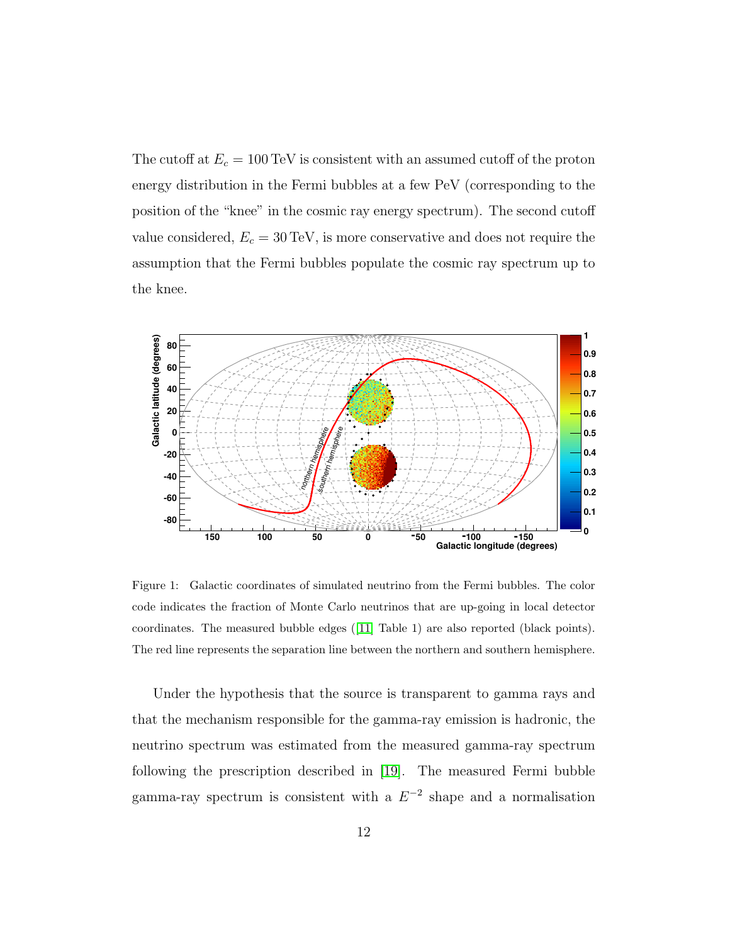The cutoff at  $E_c = 100 \,\text{TeV}$  is consistent with an assumed cutoff of the proton energy distribution in the Fermi bubbles at a few PeV (corresponding to the position of the "knee" in the cosmic ray energy spectrum). The second cutoff value considered,  $E_c = 30 \,\text{TeV}$ , is more conservative and does not require the assumption that the Fermi bubbles populate the cosmic ray spectrum up to the knee.



<span id="page-10-0"></span>Figure 1: Galactic coordinates of simulated neutrino from the Fermi bubbles. The color code indicates the fraction of Monte Carlo neutrinos that are up-going in local detector coordinates. The measured bubble edges ([\[11\]](#page-23-11) Table 1) are also reported (black points). The red line represents the separation line between the northern and southern hemisphere.

Under the hypothesis that the source is transparent to gamma rays and that the mechanism responsible for the gamma-ray emission is hadronic, the neutrino spectrum was estimated from the measured gamma-ray spectrum following the prescription described in [\[19\]](#page-24-10). The measured Fermi bubble gamma-ray spectrum is consistent with a  $E^{-2}$  shape and a normalisation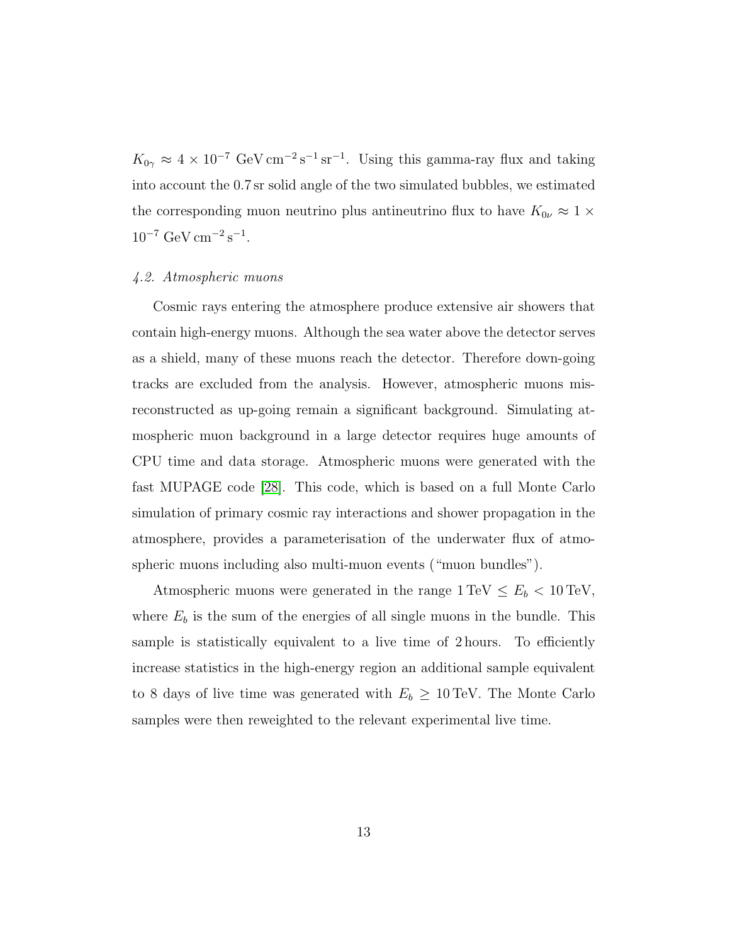$K_{0\gamma} \approx 4 \times 10^{-7} \text{ GeV cm}^{-2} \text{s}^{-1} \text{ sr}^{-1}$ . Using this gamma-ray flux and taking into account the 0.7 sr solid angle of the two simulated bubbles, we estimated the corresponding muon neutrino plus antineutrino flux to have  $K_{0\nu} \approx 1 \times$  $10^{-7} \text{ GeV cm}^{-2} \text{s}^{-1}$ .

#### 4.2. Atmospheric muons

Cosmic rays entering the atmosphere produce extensive air showers that contain high-energy muons. Although the sea water above the detector serves as a shield, many of these muons reach the detector. Therefore down-going tracks are excluded from the analysis. However, atmospheric muons misreconstructed as up-going remain a significant background. Simulating atmospheric muon background in a large detector requires huge amounts of CPU time and data storage. Atmospheric muons were generated with the fast MUPAGE code [\[28\]](#page-25-1). This code, which is based on a full Monte Carlo simulation of primary cosmic ray interactions and shower propagation in the atmosphere, provides a parameterisation of the underwater flux of atmospheric muons including also multi-muon events ("muon bundles").

Atmospheric muons were generated in the range  $1 \text{ TeV} \leq E_b < 10 \text{ TeV}$ , where  $E_b$  is the sum of the energies of all single muons in the bundle. This sample is statistically equivalent to a live time of 2 hours. To efficiently increase statistics in the high-energy region an additional sample equivalent to 8 days of live time was generated with  $E_b \geq 10$  TeV. The Monte Carlo samples were then reweighted to the relevant experimental live time.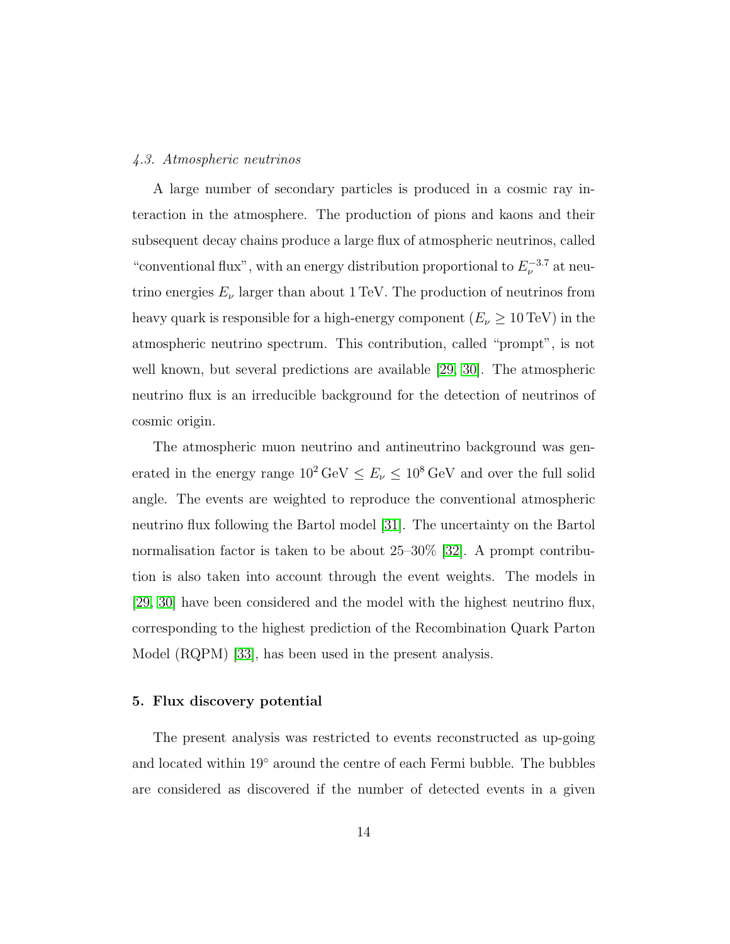#### 4.3. Atmospheric neutrinos

A large number of secondary particles is produced in a cosmic ray interaction in the atmosphere. The production of pions and kaons and their subsequent decay chains produce a large flux of atmospheric neutrinos, called "conventional flux", with an energy distribution proportional to  $E_{\nu}^{-3.7}$  at neutrino energies  $E_{\nu}$  larger than about 1 TeV. The production of neutrinos from heavy quark is responsible for a high-energy component  $(E_{\nu} \geq 10 \,\text{TeV})$  in the atmospheric neutrino spectrum. This contribution, called "prompt", is not well known, but several predictions are available [\[29,](#page-25-2) [30\]](#page-25-3). The atmospheric neutrino flux is an irreducible background for the detection of neutrinos of cosmic origin.

The atmospheric muon neutrino and antineutrino background was generated in the energy range  $10^2 \text{ GeV} \leq E_{\nu} \leq 10^8 \text{ GeV}$  and over the full solid angle. The events are weighted to reproduce the conventional atmospheric neutrino flux following the Bartol model [\[31\]](#page-25-4). The uncertainty on the Bartol normalisation factor is taken to be about 25–30% [\[32\]](#page-25-5). A prompt contribution is also taken into account through the event weights. The models in [\[29,](#page-25-2) [30\]](#page-25-3) have been considered and the model with the highest neutrino flux, corresponding to the highest prediction of the Recombination Quark Parton Model (RQPM) [\[33\]](#page-25-6), has been used in the present analysis.

## 5. Flux discovery potential

The present analysis was restricted to events reconstructed as up-going and located within 19◦ around the centre of each Fermi bubble. The bubbles are considered as discovered if the number of detected events in a given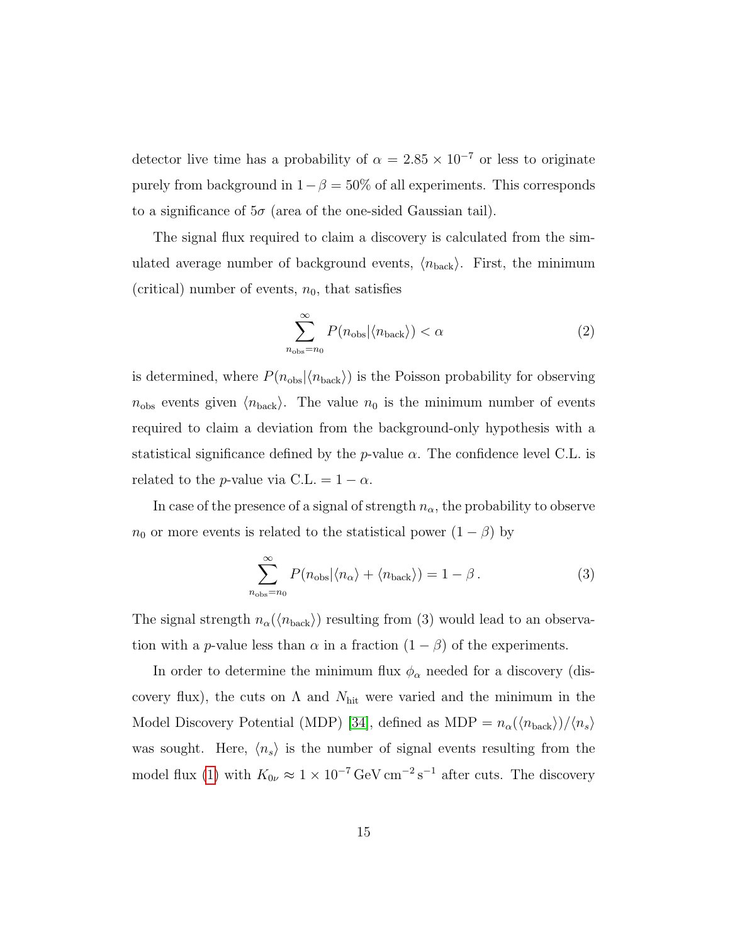detector live time has a probability of  $\alpha = 2.85 \times 10^{-7}$  or less to originate purely from background in  $1-\beta = 50\%$  of all experiments. This corresponds to a significance of  $5\sigma$  (area of the one-sided Gaussian tail).

The signal flux required to claim a discovery is calculated from the simulated average number of background events,  $\langle n_{\text{back}} \rangle$ . First, the minimum (critical) number of events,  $n_0$ , that satisfies

$$
\sum_{n_{\rm obs}=n_0}^{\infty} P(n_{\rm obs}|\langle n_{\rm back}\rangle) < \alpha \tag{2}
$$

is determined, where  $P(n_{\text{obs}}|\langle n_{\text{back}}\rangle)$  is the Poisson probability for observing  $n_{\text{obs}}$  events given  $\langle n_{\text{back}} \rangle$ . The value  $n_0$  is the minimum number of events required to claim a deviation from the background-only hypothesis with a statistical significance defined by the *p*-value  $\alpha$ . The confidence level C.L. is related to the *p*-value via C.L. =  $1 - \alpha$ .

In case of the presence of a signal of strength  $n_{\alpha}$ , the probability to observe  $n_0$  or more events is related to the statistical power  $(1 - \beta)$  by

$$
\sum_{n_{\text{obs}}=n_0}^{\infty} P(n_{\text{obs}}|\langle n_{\alpha}\rangle + \langle n_{\text{back}}\rangle) = 1 - \beta.
$$
 (3)

The signal strength  $n_{\alpha}(\langle n_{\text{back}}\rangle)$  resulting from (3) would lead to an observation with a *p*-value less than  $\alpha$  in a fraction  $(1 - \beta)$  of the experiments.

In order to determine the minimum flux  $\phi_{\alpha}$  needed for a discovery (discovery flux), the cuts on  $\Lambda$  and  $N_{\text{hit}}$  were varied and the minimum in the Model Discovery Potential (MDP) [\[34\]](#page-25-7), defined as MDP =  $n_{\alpha}(\langle n_{\text{back}}\rangle)/\langle n_{s}\rangle$ was sought. Here,  $\langle n_s \rangle$  is the number of signal events resulting from the model flux [\(1\)](#page-9-0) with  $K_{0\nu} \approx 1 \times 10^{-7} \text{ GeV cm}^{-2} \text{ s}^{-1}$  after cuts. The discovery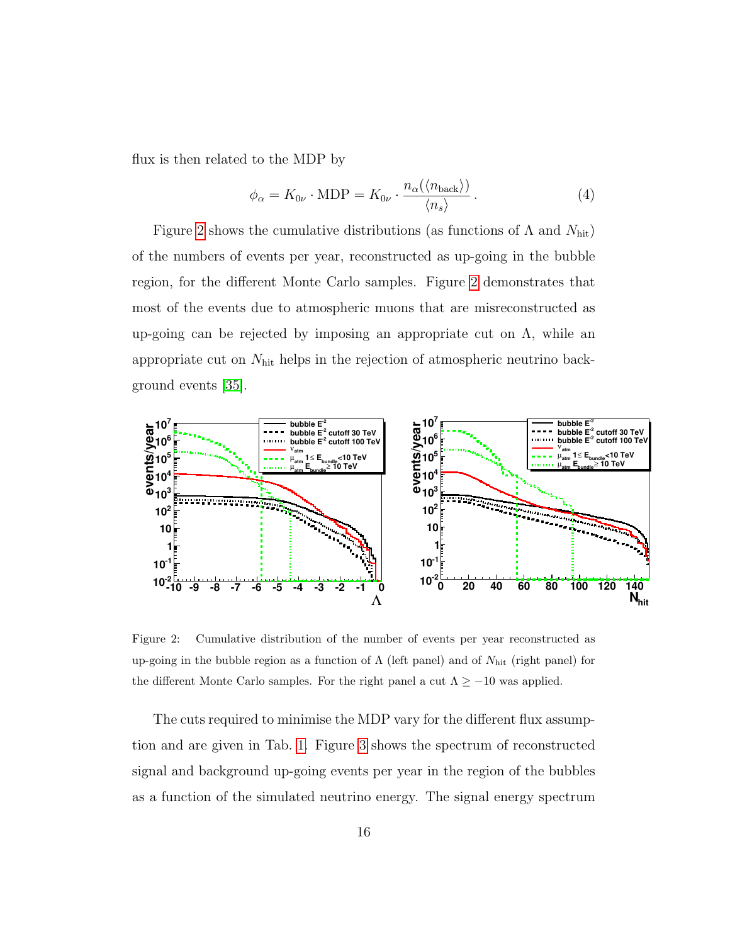flux is then related to the MDP by

$$
\phi_{\alpha} = K_{0\nu} \cdot \text{MDP} = K_{0\nu} \cdot \frac{n_{\alpha}(\langle n_{\text{back}} \rangle)}{\langle n_s \rangle}.
$$
\n(4)

Figure [2](#page-14-0) shows the cumulative distributions (as functions of  $\Lambda$  and  $N_{\text{hit}}$ ) of the numbers of events per year, reconstructed as up-going in the bubble region, for the different Monte Carlo samples. Figure [2](#page-14-0) demonstrates that most of the events due to atmospheric muons that are misreconstructed as up-going can be rejected by imposing an appropriate cut on  $\Lambda$ , while an appropriate cut on  $N_{\text{hit}}$  helps in the rejection of atmospheric neutrino background events [\[35\]](#page-25-8).



<span id="page-14-0"></span>Figure 2: Cumulative distribution of the number of events per year reconstructed as up-going in the bubble region as a function of  $\Lambda$  (left panel) and of  $N_{\rm hit}$  (right panel) for the different Monte Carlo samples. For the right panel a cut  $\Lambda \ge -10$  was applied.

The cuts required to minimise the MDP vary for the different flux assumption and are given in Tab. [1.](#page--1-0) Figure [3](#page-15-0) shows the spectrum of reconstructed signal and background up-going events per year in the region of the bubbles as a function of the simulated neutrino energy. The signal energy spectrum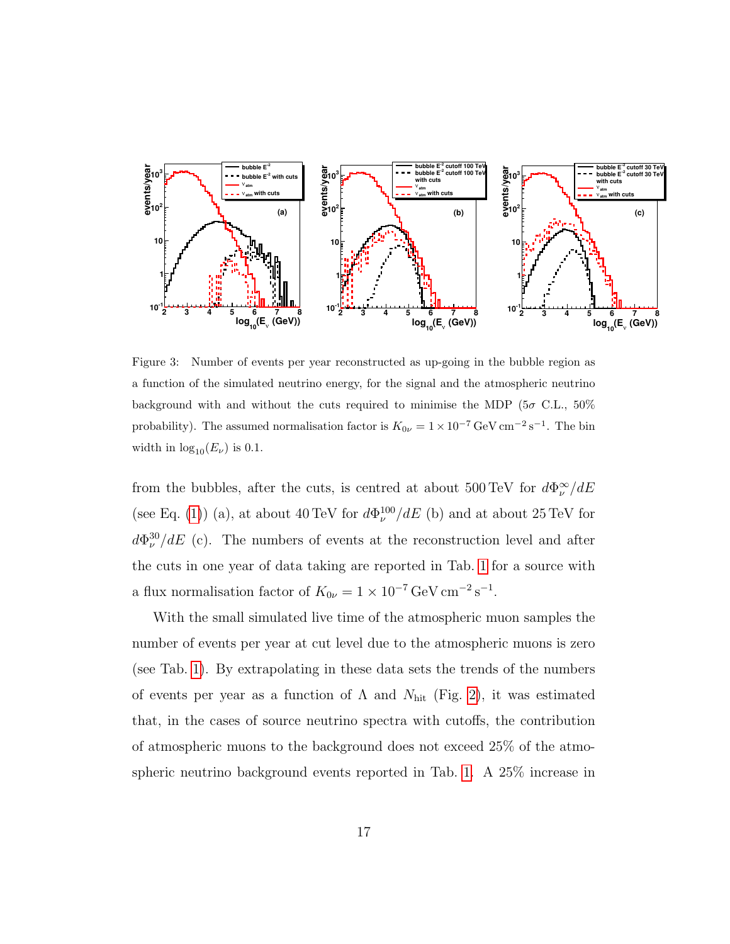

<span id="page-15-0"></span>Figure 3: Number of events per year reconstructed as up-going in the bubble region as a function of the simulated neutrino energy, for the signal and the atmospheric neutrino background with and without the cuts required to minimise the MDP ( $5\sigma$  C.L.,  $50\%$ probability). The assumed normalisation factor is  $K_{0\nu} = 1 \times 10^{-7} \text{ GeV cm}^{-2} \text{ s}^{-1}$ . The bin width in  $\log_{10}(E_{\nu})$  is 0.1.

from the bubbles, after the cuts, is centred at about 500 TeV for  $d\Phi_{\nu}^{\infty}/dE$ (see Eq. [\(1\)](#page-9-0)) (a), at about 40 TeV for  $d\Phi_{\nu}^{100}/dE$  (b) and at about 25 TeV for  $d\Phi_{\nu}^{30}/dE$  (c). The numbers of events at the reconstruction level and after the cuts in one year of data taking are reported in Tab. [1](#page--1-0) for a source with a flux normalisation factor of  $K_{0\nu} = 1 \times 10^{-7} \text{ GeV cm}^{-2} \text{ s}^{-1}$ .

With the small simulated live time of the atmospheric muon samples the number of events per year at cut level due to the atmospheric muons is zero (see Tab. [1\)](#page--1-0). By extrapolating in these data sets the trends of the numbers of events per year as a function of  $\Lambda$  and  $N_{\text{hit}}$  (Fig. [2\)](#page-14-0), it was estimated that, in the cases of source neutrino spectra with cutoffs, the contribution of atmospheric muons to the background does not exceed 25% of the atmospheric neutrino background events reported in Tab. [1.](#page--1-0) A 25% increase in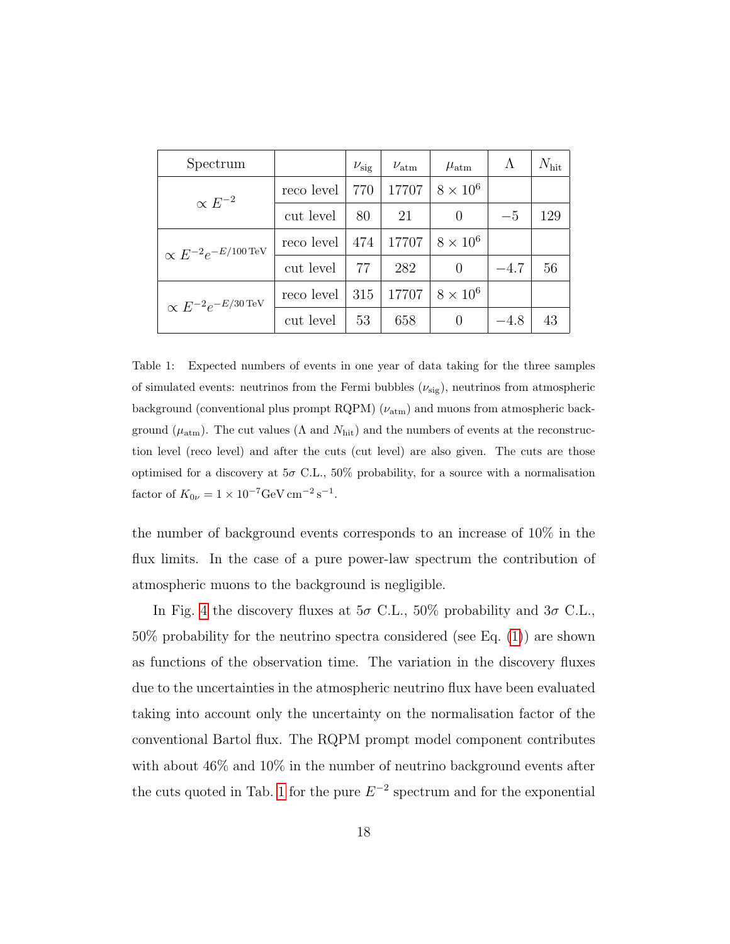| Spectrum                                |            | $\nu_{\rm sig}$ | $\nu_{\text{atm}}$ | $\mu_{\rm atm}$ | Λ      | $N_{\rm hit}$ |
|-----------------------------------------|------------|-----------------|--------------------|-----------------|--------|---------------|
| $\propto E^{-2}$                        | reco level | 770             | 17707              | $8 \times 10^6$ |        |               |
|                                         | cut level  | 80              | 21                 | 0               | $-5$   | 129           |
| $\propto E^{-2}e^{-E/100\,{\rm TeV}}$   | reco level | 474             | 17707              | $8 \times 10^6$ |        |               |
|                                         | cut level  | 77              | 282                | 0               | $-4.7$ | 56            |
| $\propto E^{-2}e^{-E/30\,\mathrm{TeV}}$ | reco level | 315             | 17707              | $8 \times 10^6$ |        |               |
|                                         | cut level  | 53              | 658                | $\theta$        | -4.8   | 43            |

Table 1: Expected numbers of events in one year of data taking for the three samples of simulated events: neutrinos from the Fermi bubbles  $(\nu_{sig})$ , neutrinos from atmospheric background (conventional plus prompt RQPM)  $(\nu_{\text{atm}})$  and muons from atmospheric background ( $\mu_{\text{atm}}$ ). The cut values ( $\Lambda$  and  $N_{\text{hit}}$ ) and the numbers of events at the reconstruction level (reco level) and after the cuts (cut level) are also given. The cuts are those optimised for a discovery at  $5\sigma$  C.L., 50% probability, for a source with a normalisation factor of  $K_{0\nu} = 1 \times 10^{-7} \text{GeV cm}^{-2} \text{ s}^{-1}$ .

the number of background events corresponds to an increase of 10% in the flux limits. In the case of a pure power-law spectrum the contribution of atmospheric muons to the background is negligible.

In Fig. [4](#page-18-0) the discovery fluxes at  $5\sigma$  C.L.,  $50\%$  probability and  $3\sigma$  C.L., 50% probability for the neutrino spectra considered (see Eq. [\(1\)](#page-9-0)) are shown as functions of the observation time. The variation in the discovery fluxes due to the uncertainties in the atmospheric neutrino flux have been evaluated taking into account only the uncertainty on the normalisation factor of the conventional Bartol flux. The RQPM prompt model component contributes with about 46% and 10% in the number of neutrino background events after the cuts quoted in Tab. [1](#page--1-0) for the pure  $E^{-2}$  spectrum and for the exponential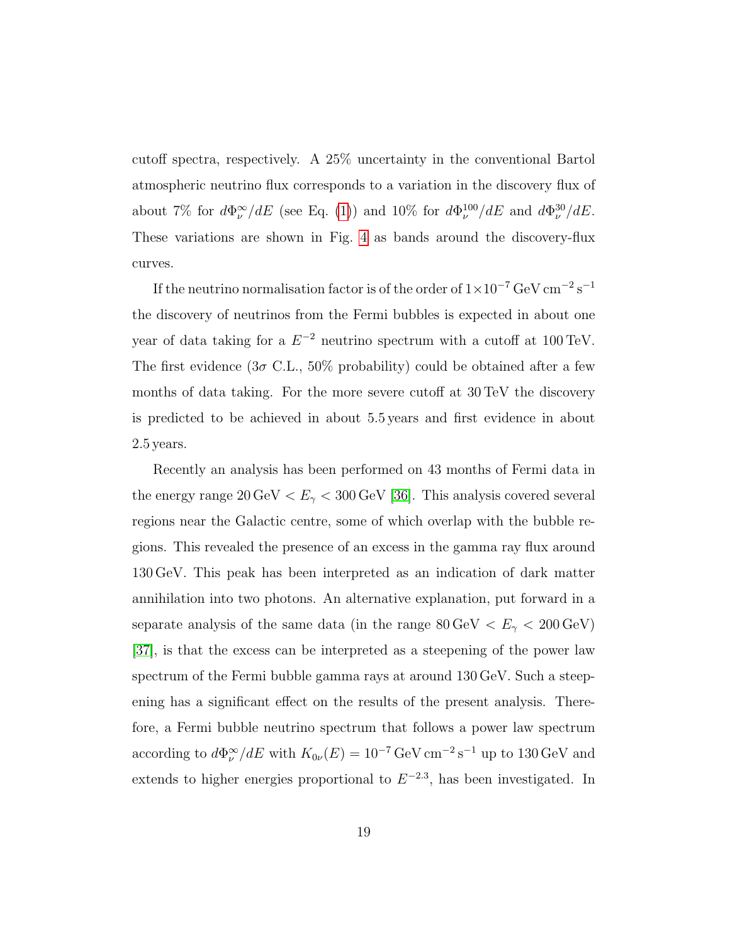cutoff spectra, respectively. A 25% uncertainty in the conventional Bartol atmospheric neutrino flux corresponds to a variation in the discovery flux of about 7% for  $d\Phi_{\nu}^{\infty}/dE$  (see Eq. [\(1\)](#page-9-0)) and 10% for  $d\Phi_{\nu}^{100}/dE$  and  $d\Phi_{\nu}^{30}/dE$ . These variations are shown in Fig. [4](#page-18-0) as bands around the discovery-flux curves.

If the neutrino normalisation factor is of the order of  $1 \times 10^{-7}$  GeV cm<sup>-2</sup> s<sup>-1</sup> the discovery of neutrinos from the Fermi bubbles is expected in about one year of data taking for a  $E^{-2}$  neutrino spectrum with a cutoff at 100 TeV. The first evidence  $(3\sigma \text{ C.L., } 50\% \text{ probability})$  could be obtained after a few months of data taking. For the more severe cutoff at 30 TeV the discovery is predicted to be achieved in about 5.5 years and first evidence in about 2.5 years.

Recently an analysis has been performed on 43 months of Fermi data in the energy range  $20 \,\text{GeV} < E_{\gamma} < 300 \,\text{GeV}$  [\[36\]](#page-25-9). This analysis covered several regions near the Galactic centre, some of which overlap with the bubble regions. This revealed the presence of an excess in the gamma ray flux around 130 GeV. This peak has been interpreted as an indication of dark matter annihilation into two photons. An alternative explanation, put forward in a separate analysis of the same data (in the range  $80\,{\rm GeV}\, < E_\gamma < 200\,{\rm GeV})$ [\[37\]](#page-25-10), is that the excess can be interpreted as a steepening of the power law spectrum of the Fermi bubble gamma rays at around 130 GeV. Such a steepening has a significant effect on the results of the present analysis. Therefore, a Fermi bubble neutrino spectrum that follows a power law spectrum according to  $d\Phi_{\nu}^{\infty}/dE$  with  $K_{0\nu}(E) = 10^{-7} \text{ GeV cm}^{-2} \text{ s}^{-1}$  up to 130 GeV and extends to higher energies proportional to  $E^{-2.3}$ , has been investigated. In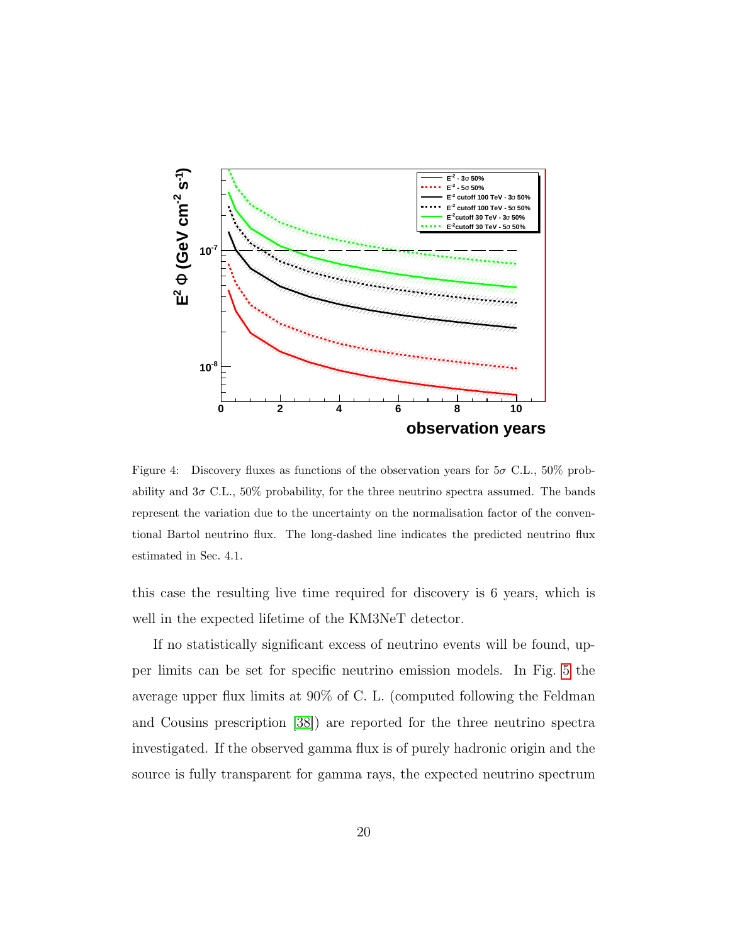

<span id="page-18-0"></span>Figure 4: Discovery fluxes as functions of the observation years for  $5\sigma$  C.L.,  $50\%$  probability and  $3\sigma$  C.L.,  $50\%$  probability, for the three neutrino spectra assumed. The bands represent the variation due to the uncertainty on the normalisation factor of the conventional Bartol neutrino flux. The long-dashed line indicates the predicted neutrino flux estimated in Sec. 4.1.

this case the resulting live time required for discovery is 6 years, which is well in the expected lifetime of the KM3NeT detector.

If no statistically significant excess of neutrino events will be found, upper limits can be set for specific neutrino emission models. In Fig. [5](#page-19-0) the average upper flux limits at 90% of C. L. (computed following the Feldman and Cousins prescription [\[38\]](#page-25-11)) are reported for the three neutrino spectra investigated. If the observed gamma flux is of purely hadronic origin and the source is fully transparent for gamma rays, the expected neutrino spectrum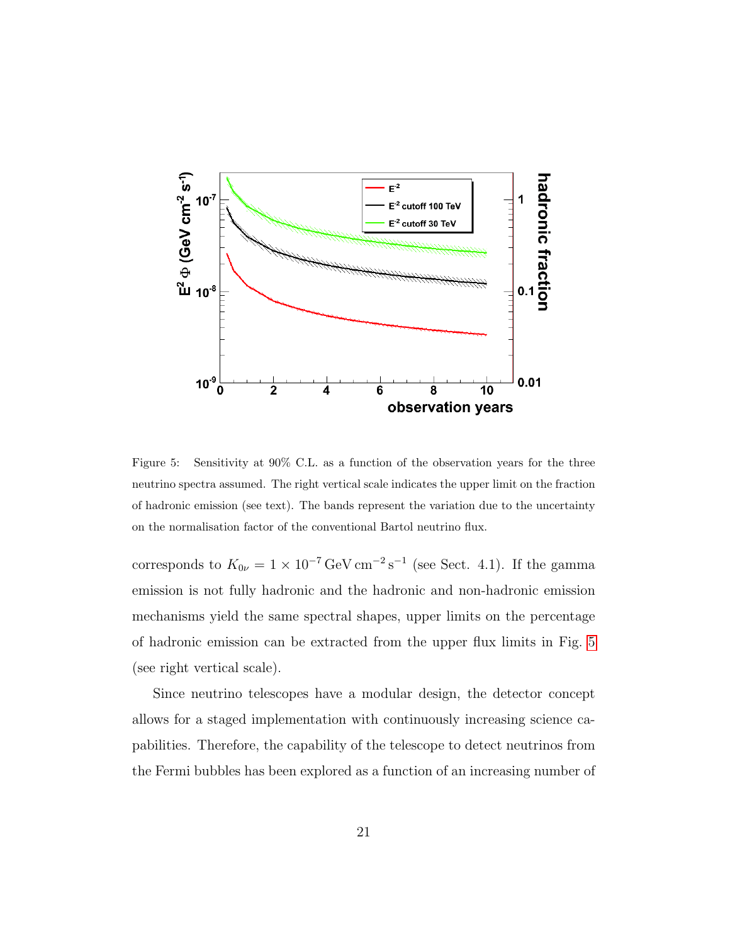

<span id="page-19-0"></span>Figure 5: Sensitivity at 90% C.L. as a function of the observation years for the three neutrino spectra assumed. The right vertical scale indicates the upper limit on the fraction of hadronic emission (see text). The bands represent the variation due to the uncertainty on the normalisation factor of the conventional Bartol neutrino flux.

corresponds to  $K_{0\nu} = 1 \times 10^{-7} \text{ GeV cm}^{-2} \text{s}^{-1}$  (see Sect. 4.1). If the gamma emission is not fully hadronic and the hadronic and non-hadronic emission mechanisms yield the same spectral shapes, upper limits on the percentage of hadronic emission can be extracted from the upper flux limits in Fig. [5](#page-19-0) (see right vertical scale).

Since neutrino telescopes have a modular design, the detector concept allows for a staged implementation with continuously increasing science capabilities. Therefore, the capability of the telescope to detect neutrinos from the Fermi bubbles has been explored as a function of an increasing number of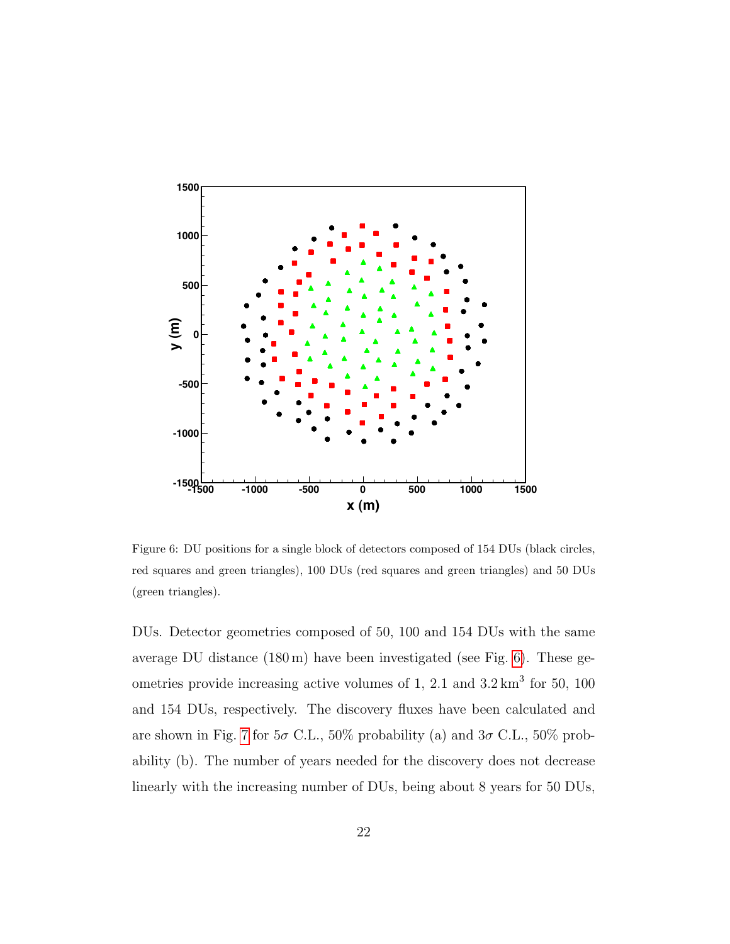

<span id="page-20-0"></span>Figure 6: DU positions for a single block of detectors composed of 154 DUs (black circles, red squares and green triangles), 100 DUs (red squares and green triangles) and 50 DUs (green triangles).

DUs. Detector geometries composed of 50, 100 and 154 DUs with the same average DU distance (180 m) have been investigated (see Fig. [6\)](#page-20-0). These geometries provide increasing active volumes of 1, 2.1 and  $3.2 \text{ km}^3$  for 50, 100 and 154 DUs, respectively. The discovery fluxes have been calculated and are shown in Fig. [7](#page-21-0) for  $5\sigma$  C.L.,  $50\%$  probability (a) and  $3\sigma$  C.L.,  $50\%$  probability (b). The number of years needed for the discovery does not decrease linearly with the increasing number of DUs, being about 8 years for 50 DUs,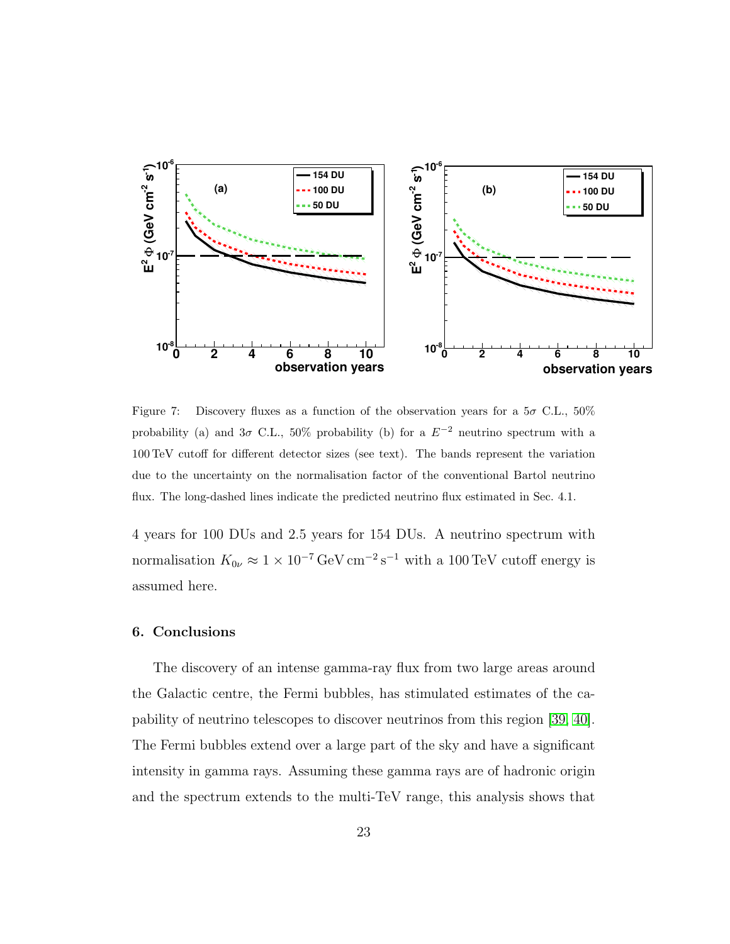

<span id="page-21-0"></span>Figure 7: Discovery fluxes as a function of the observation years for a  $5\sigma$  C.L.,  $50\%$ probability (a) and  $3\sigma$  C.L., 50% probability (b) for a  $E^{-2}$  neutrino spectrum with a 100 TeV cutoff for different detector sizes (see text). The bands represent the variation due to the uncertainty on the normalisation factor of the conventional Bartol neutrino flux. The long-dashed lines indicate the predicted neutrino flux estimated in Sec. 4.1.

4 years for 100 DUs and 2.5 years for 154 DUs. A neutrino spectrum with normalisation  $K_{0\nu} \approx 1 \times 10^{-7} \,\text{GeV} \,\text{cm}^{-2} \,\text{s}^{-1}$  with a 100 TeV cutoff energy is assumed here.

#### 6. Conclusions

The discovery of an intense gamma-ray flux from two large areas around the Galactic centre, the Fermi bubbles, has stimulated estimates of the capability of neutrino telescopes to discover neutrinos from this region [\[39,](#page-25-12) [40\]](#page-25-13). The Fermi bubbles extend over a large part of the sky and have a significant intensity in gamma rays. Assuming these gamma rays are of hadronic origin and the spectrum extends to the multi-TeV range, this analysis shows that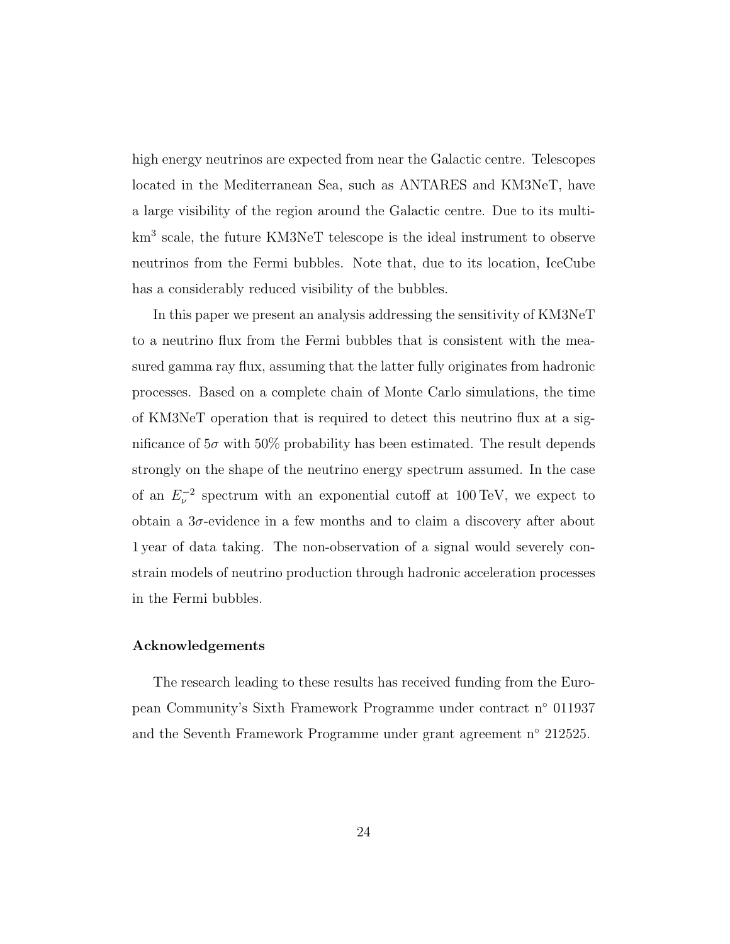high energy neutrinos are expected from near the Galactic centre. Telescopes located in the Mediterranean Sea, such as ANTARES and KM3NeT, have a large visibility of the region around the Galactic centre. Due to its multikm<sup>3</sup> scale, the future KM3NeT telescope is the ideal instrument to observe neutrinos from the Fermi bubbles. Note that, due to its location, IceCube has a considerably reduced visibility of the bubbles.

In this paper we present an analysis addressing the sensitivity of KM3NeT to a neutrino flux from the Fermi bubbles that is consistent with the measured gamma ray flux, assuming that the latter fully originates from hadronic processes. Based on a complete chain of Monte Carlo simulations, the time of KM3NeT operation that is required to detect this neutrino flux at a significance of  $5\sigma$  with  $50\%$  probability has been estimated. The result depends strongly on the shape of the neutrino energy spectrum assumed. In the case of an  $E_{\nu}^{-2}$  spectrum with an exponential cutoff at 100 TeV, we expect to obtain a  $3\sigma$ -evidence in a few months and to claim a discovery after about 1 year of data taking. The non-observation of a signal would severely constrain models of neutrino production through hadronic acceleration processes in the Fermi bubbles.

## Acknowledgements

The research leading to these results has received funding from the European Community's Sixth Framework Programme under contract n◦ 011937 and the Seventh Framework Programme under grant agreement n◦ 212525.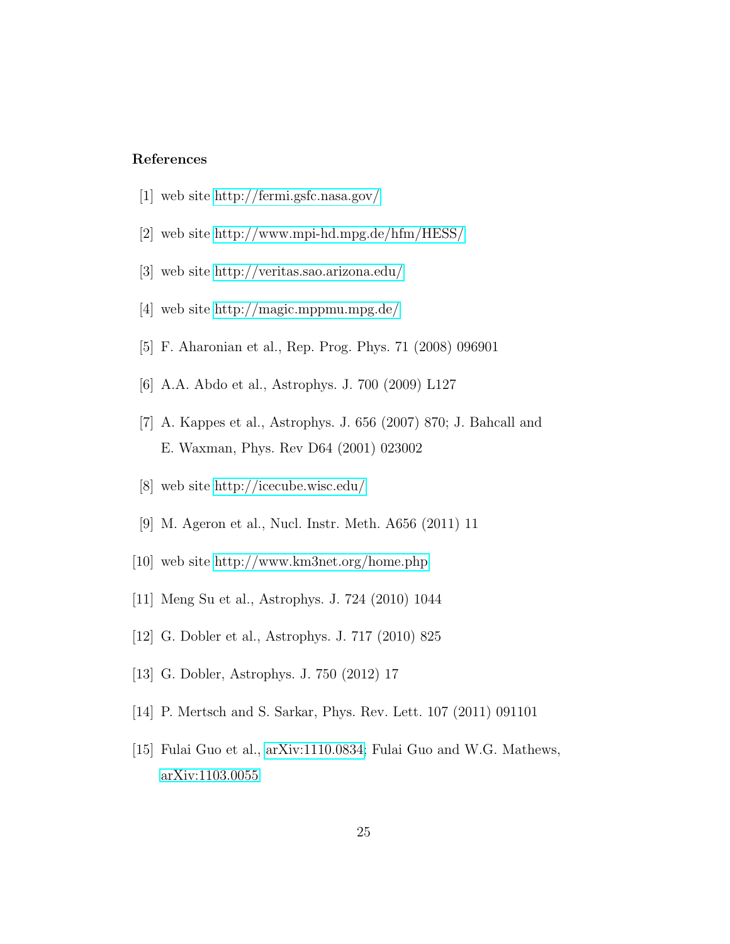## <span id="page-23-5"></span><span id="page-23-4"></span><span id="page-23-3"></span><span id="page-23-2"></span><span id="page-23-1"></span><span id="page-23-0"></span>References

- [1] web site<http://fermi.gsfc.nasa.gov/>
- [2] web site<http://www.mpi-hd.mpg.de/hfm/HESS/>
- [3] web site<http://veritas.sao.arizona.edu/>
- [4] web site<http://magic.mppmu.mpg.de/>
- <span id="page-23-10"></span>[5] F. Aharonian et al., Rep. Prog. Phys. 71 (2008) 096901
- [6] A.A. Abdo et al., Astrophys. J. 700 (2009) L127
- <span id="page-23-6"></span>[7] A. Kappes et al., Astrophys. J. 656 (2007) 870; J. Bahcall and E. Waxman, Phys. Rev D64 (2001) 023002
- <span id="page-23-7"></span>[8] web site<http://icecube.wisc.edu/>
- <span id="page-23-8"></span>[9] M. Ageron et al., Nucl. Instr. Meth. A656 (2011) 11
- <span id="page-23-9"></span>[10] web site<http://www.km3net.org/home.php>
- <span id="page-23-11"></span>[11] Meng Su et al., Astrophys. J. 724 (2010) 1044
- <span id="page-23-12"></span>[12] G. Dobler et al., Astrophys. J. 717 (2010) 825
- <span id="page-23-13"></span>[13] G. Dobler, Astrophys. J. 750 (2012) 17
- <span id="page-23-14"></span>[14] P. Mertsch and S. Sarkar, Phys. Rev. Lett. 107 (2011) 091101
- <span id="page-23-15"></span>[15] Fulai Guo et al., [arXiv:1110.0834;](http://arxiv.org/abs/1110.0834) Fulai Guo and W.G. Mathews, [arXiv:1103.0055](http://arxiv.org/abs/1103.0055)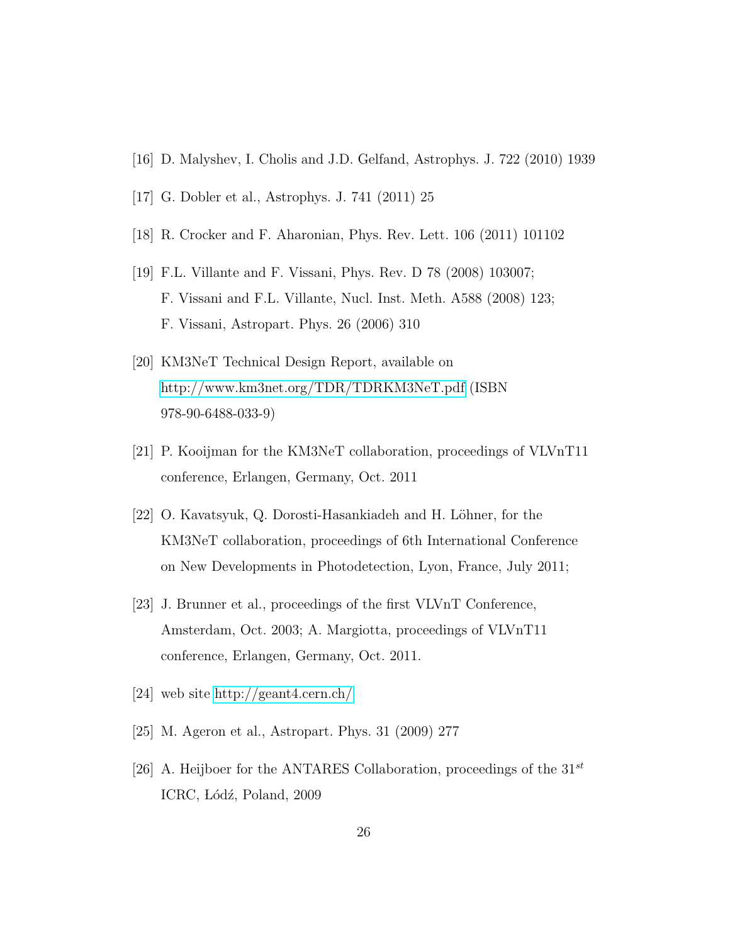- <span id="page-24-0"></span>[16] D. Malyshev, I. Cholis and J.D. Gelfand, Astrophys. J. 722 (2010) 1939
- <span id="page-24-1"></span>[17] G. Dobler et al., Astrophys. J. 741 (2011) 25
- <span id="page-24-2"></span>[18] R. Crocker and F. Aharonian, Phys. Rev. Lett. 106 (2011) 101102
- <span id="page-24-10"></span>[19] F.L. Villante and F. Vissani, Phys. Rev. D 78 (2008) 103007; F. Vissani and F.L. Villante, Nucl. Inst. Meth. A588 (2008) 123; F. Vissani, Astropart. Phys. 26 (2006) 310
- <span id="page-24-3"></span>[20] KM3NeT Technical Design Report, available on <http://www.km3net.org/TDR/TDRKM3NeT.pdf> (ISBN 978-90-6488-033-9)
- <span id="page-24-4"></span>[21] P. Kooijman for the KM3NeT collaboration, proceedings of VLVnT11 conference, Erlangen, Germany, Oct. 2011
- <span id="page-24-5"></span>[22] O. Kavatsyuk, Q. Dorosti-Hasankiadeh and H. Löhner, for the KM3NeT collaboration, proceedings of 6th International Conference on New Developments in Photodetection, Lyon, France, July 2011;
- <span id="page-24-6"></span>[23] J. Brunner et al., proceedings of the first VLVnT Conference, Amsterdam, Oct. 2003; A. Margiotta, proceedings of VLVnT11 conference, Erlangen, Germany, Oct. 2011.
- <span id="page-24-7"></span>[24] web site<http://geant4.cern.ch/>
- <span id="page-24-8"></span>[25] M. Ageron et al., Astropart. Phys. 31 (2009) 277
- <span id="page-24-9"></span>[26] A. Heijboer for the ANTARES Collaboration, proceedings of the  $31^{st}$ ICRC, Lódź, Poland, 2009